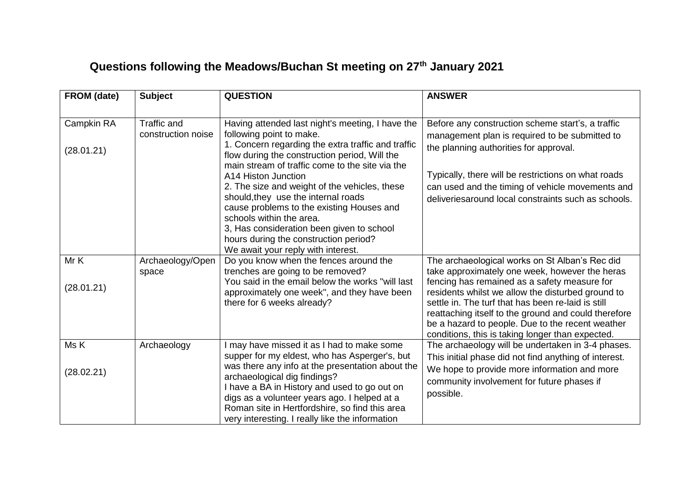## **Questions following the Meadows/Buchan St meeting on 27th January 2021**

| FROM (date)              | <b>Subject</b>                           | <b>QUESTION</b>                                                                                                                                                                                                                                                                                                                                                                                                                                                                                                                                            | <b>ANSWER</b>                                                                                                                                                                                                                                                                                                                                                                                                               |
|--------------------------|------------------------------------------|------------------------------------------------------------------------------------------------------------------------------------------------------------------------------------------------------------------------------------------------------------------------------------------------------------------------------------------------------------------------------------------------------------------------------------------------------------------------------------------------------------------------------------------------------------|-----------------------------------------------------------------------------------------------------------------------------------------------------------------------------------------------------------------------------------------------------------------------------------------------------------------------------------------------------------------------------------------------------------------------------|
| Campkin RA<br>(28.01.21) | <b>Traffic and</b><br>construction noise | Having attended last night's meeting, I have the<br>following point to make.<br>1. Concern regarding the extra traffic and traffic<br>flow during the construction period, Will the<br>main stream of traffic come to the site via the<br>A14 Histon Junction<br>2. The size and weight of the vehicles, these<br>should, they use the internal roads<br>cause problems to the existing Houses and<br>schools within the area.<br>3, Has consideration been given to school<br>hours during the construction period?<br>We await your reply with interest. | Before any construction scheme start's, a traffic<br>management plan is required to be submitted to<br>the planning authorities for approval.<br>Typically, there will be restrictions on what roads<br>can used and the timing of vehicle movements and<br>deliveries around local constraints such as schools.                                                                                                            |
| Mr K<br>(28.01.21)       | Archaeology/Open<br>space                | Do you know when the fences around the<br>trenches are going to be removed?<br>You said in the email below the works "will last<br>approximately one week", and they have been<br>there for 6 weeks already?                                                                                                                                                                                                                                                                                                                                               | The archaeological works on St Alban's Rec did<br>take approximately one week, however the heras<br>fencing has remained as a safety measure for<br>residents whilst we allow the disturbed ground to<br>settle in. The turf that has been re-laid is still<br>reattaching itself to the ground and could therefore<br>be a hazard to people. Due to the recent weather<br>conditions, this is taking longer than expected. |
| Ms K<br>(28.02.21)       | Archaeology                              | I may have missed it as I had to make some<br>supper for my eldest, who has Asperger's, but<br>was there any info at the presentation about the<br>archaeological dig findings?<br>I have a BA in History and used to go out on<br>digs as a volunteer years ago. I helped at a<br>Roman site in Hertfordshire, so find this area<br>very interesting. I really like the information                                                                                                                                                                       | The archaeology will be undertaken in 3-4 phases.<br>This initial phase did not find anything of interest.<br>We hope to provide more information and more<br>community involvement for future phases if<br>possible.                                                                                                                                                                                                       |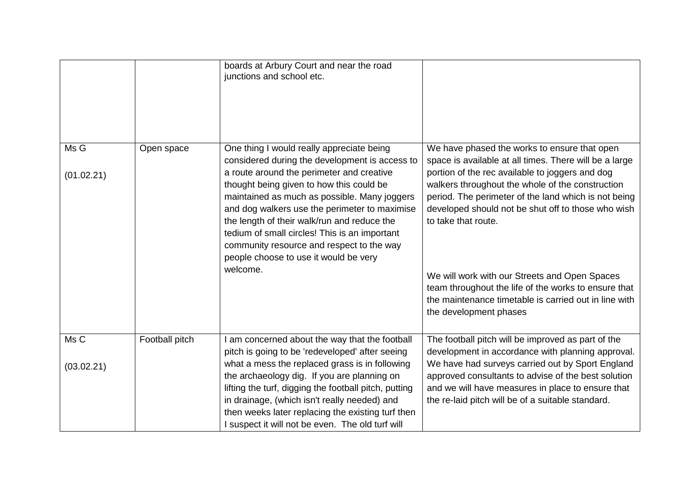|                    |                | boards at Arbury Court and near the road<br>junctions and school etc.                                                                                                                                                                                                                                                                                                                                                                                                                   |                                                                                                                                                                                                                                                                                                                                                    |
|--------------------|----------------|-----------------------------------------------------------------------------------------------------------------------------------------------------------------------------------------------------------------------------------------------------------------------------------------------------------------------------------------------------------------------------------------------------------------------------------------------------------------------------------------|----------------------------------------------------------------------------------------------------------------------------------------------------------------------------------------------------------------------------------------------------------------------------------------------------------------------------------------------------|
| Ms G<br>(01.02.21) | Open space     | One thing I would really appreciate being<br>considered during the development is access to<br>a route around the perimeter and creative<br>thought being given to how this could be<br>maintained as much as possible. Many joggers<br>and dog walkers use the perimeter to maximise<br>the length of their walk/run and reduce the<br>tedium of small circles! This is an important<br>community resource and respect to the way<br>people choose to use it would be very<br>welcome. | We have phased the works to ensure that open<br>space is available at all times. There will be a large<br>portion of the rec available to joggers and dog<br>walkers throughout the whole of the construction<br>period. The perimeter of the land which is not being<br>developed should not be shut off to those who wish<br>to take that route. |
|                    |                |                                                                                                                                                                                                                                                                                                                                                                                                                                                                                         | We will work with our Streets and Open Spaces<br>team throughout the life of the works to ensure that<br>the maintenance timetable is carried out in line with<br>the development phases                                                                                                                                                           |
| Ms C               | Football pitch | I am concerned about the way that the football<br>pitch is going to be 'redeveloped' after seeing                                                                                                                                                                                                                                                                                                                                                                                       | The football pitch will be improved as part of the<br>development in accordance with planning approval.                                                                                                                                                                                                                                            |
| (03.02.21)         |                | what a mess the replaced grass is in following<br>the archaeology dig. If you are planning on<br>lifting the turf, digging the football pitch, putting<br>in drainage, (which isn't really needed) and<br>then weeks later replacing the existing turf then<br>I suspect it will not be even. The old turf will                                                                                                                                                                         | We have had surveys carried out by Sport England<br>approved consultants to advise of the best solution<br>and we will have measures in place to ensure that<br>the re-laid pitch will be of a suitable standard.                                                                                                                                  |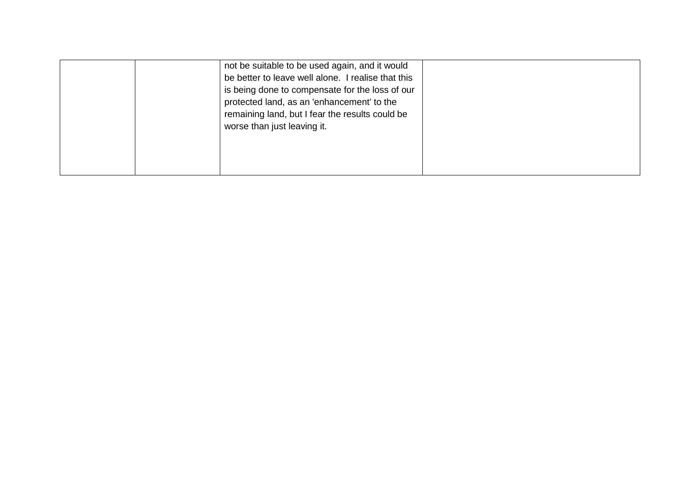|  | not be suitable to be used again, and it would     |  |
|--|----------------------------------------------------|--|
|  | be better to leave well alone. I realise that this |  |
|  | is being done to compensate for the loss of our    |  |
|  | protected land, as an 'enhancement' to the         |  |
|  | remaining land, but I fear the results could be    |  |
|  | worse than just leaving it.                        |  |
|  |                                                    |  |
|  |                                                    |  |
|  |                                                    |  |
|  |                                                    |  |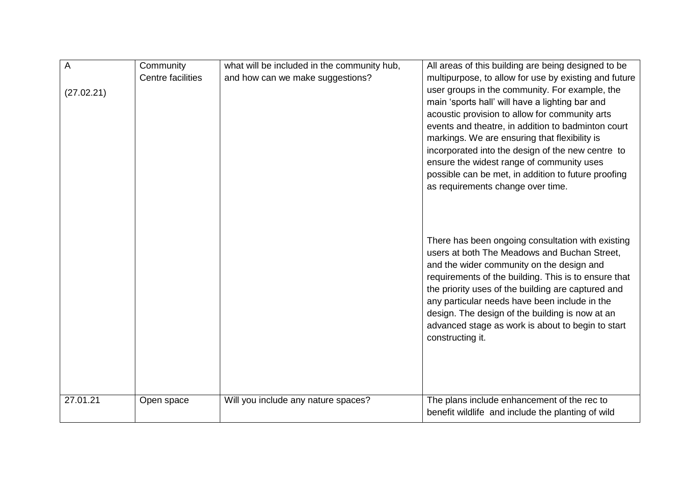| A          | Community         | what will be included in the community hub, | All areas of this building are being designed to be                                                                                                                                                                                                                                                                                                                                                                                       |
|------------|-------------------|---------------------------------------------|-------------------------------------------------------------------------------------------------------------------------------------------------------------------------------------------------------------------------------------------------------------------------------------------------------------------------------------------------------------------------------------------------------------------------------------------|
|            | Centre facilities | and how can we make suggestions?            | multipurpose, to allow for use by existing and future                                                                                                                                                                                                                                                                                                                                                                                     |
| (27.02.21) |                   |                                             | user groups in the community. For example, the                                                                                                                                                                                                                                                                                                                                                                                            |
|            |                   |                                             | main 'sports hall' will have a lighting bar and                                                                                                                                                                                                                                                                                                                                                                                           |
|            |                   |                                             | acoustic provision to allow for community arts                                                                                                                                                                                                                                                                                                                                                                                            |
|            |                   |                                             | events and theatre, in addition to badminton court                                                                                                                                                                                                                                                                                                                                                                                        |
|            |                   |                                             | markings. We are ensuring that flexibility is                                                                                                                                                                                                                                                                                                                                                                                             |
|            |                   |                                             | incorporated into the design of the new centre to                                                                                                                                                                                                                                                                                                                                                                                         |
|            |                   |                                             | ensure the widest range of community uses                                                                                                                                                                                                                                                                                                                                                                                                 |
|            |                   |                                             | possible can be met, in addition to future proofing                                                                                                                                                                                                                                                                                                                                                                                       |
|            |                   |                                             | as requirements change over time.                                                                                                                                                                                                                                                                                                                                                                                                         |
|            |                   |                                             | There has been ongoing consultation with existing<br>users at both The Meadows and Buchan Street,<br>and the wider community on the design and<br>requirements of the building. This is to ensure that<br>the priority uses of the building are captured and<br>any particular needs have been include in the<br>design. The design of the building is now at an<br>advanced stage as work is about to begin to start<br>constructing it. |
| 27.01.21   | Open space        | Will you include any nature spaces?         | The plans include enhancement of the rec to<br>benefit wildlife and include the planting of wild                                                                                                                                                                                                                                                                                                                                          |
|            |                   |                                             |                                                                                                                                                                                                                                                                                                                                                                                                                                           |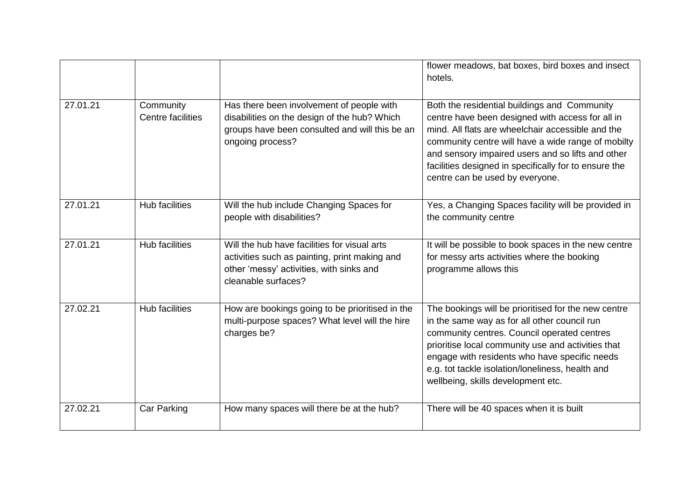|          |                                |                                                                                                                                                                  | flower meadows, bat boxes, bird boxes and insect<br>hotels.                                                                                                                                                                                                                                                                                                  |
|----------|--------------------------------|------------------------------------------------------------------------------------------------------------------------------------------------------------------|--------------------------------------------------------------------------------------------------------------------------------------------------------------------------------------------------------------------------------------------------------------------------------------------------------------------------------------------------------------|
| 27.01.21 | Community<br>Centre facilities | Has there been involvement of people with<br>disabilities on the design of the hub? Which<br>groups have been consulted and will this be an<br>ongoing process?  | Both the residential buildings and Community<br>centre have been designed with access for all in<br>mind. All flats are wheelchair accessible and the<br>community centre will have a wide range of mobilty<br>and sensory impaired users and so lifts and other<br>facilities designed in specifically for to ensure the<br>centre can be used by everyone. |
| 27.01.21 | <b>Hub facilities</b>          | Will the hub include Changing Spaces for<br>people with disabilities?                                                                                            | Yes, a Changing Spaces facility will be provided in<br>the community centre                                                                                                                                                                                                                                                                                  |
| 27.01.21 | <b>Hub facilities</b>          | Will the hub have facilities for visual arts<br>activities such as painting, print making and<br>other 'messy' activities, with sinks and<br>cleanable surfaces? | It will be possible to book spaces in the new centre<br>for messy arts activities where the booking<br>programme allows this                                                                                                                                                                                                                                 |
| 27.02.21 | <b>Hub facilities</b>          | How are bookings going to be prioritised in the<br>multi-purpose spaces? What level will the hire<br>charges be?                                                 | The bookings will be prioritised for the new centre<br>in the same way as for all other council run<br>community centres. Council operated centres<br>prioritise local community use and activities that<br>engage with residents who have specific needs<br>e.g. tot tackle isolation/loneliness, health and<br>wellbeing, skills development etc.          |
| 27.02.21 | <b>Car Parking</b>             | How many spaces will there be at the hub?                                                                                                                        | There will be 40 spaces when it is built                                                                                                                                                                                                                                                                                                                     |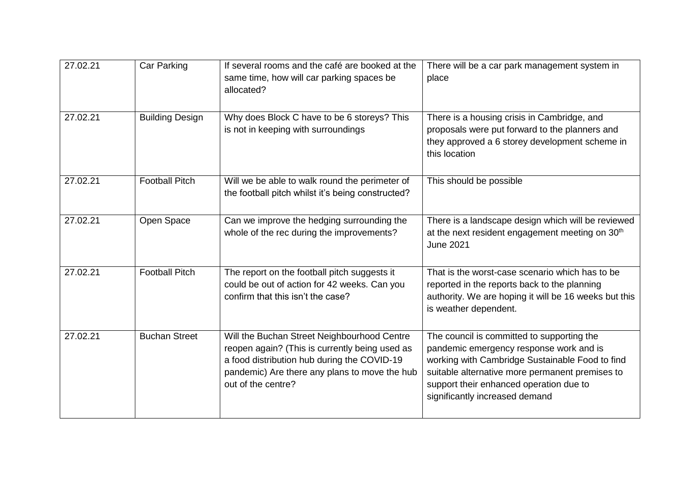| 27.02.21 | <b>Car Parking</b>     | If several rooms and the café are booked at the<br>same time, how will car parking spaces be<br>allocated?                                                                                                          | There will be a car park management system in<br>place                                                                                                                                                                                                                   |
|----------|------------------------|---------------------------------------------------------------------------------------------------------------------------------------------------------------------------------------------------------------------|--------------------------------------------------------------------------------------------------------------------------------------------------------------------------------------------------------------------------------------------------------------------------|
| 27.02.21 | <b>Building Design</b> | Why does Block C have to be 6 storeys? This<br>is not in keeping with surroundings                                                                                                                                  | There is a housing crisis in Cambridge, and<br>proposals were put forward to the planners and<br>they approved a 6 storey development scheme in<br>this location                                                                                                         |
| 27.02.21 | <b>Football Pitch</b>  | Will we be able to walk round the perimeter of<br>the football pitch whilst it's being constructed?                                                                                                                 | This should be possible                                                                                                                                                                                                                                                  |
| 27.02.21 | Open Space             | Can we improve the hedging surrounding the<br>whole of the rec during the improvements?                                                                                                                             | There is a landscape design which will be reviewed<br>at the next resident engagement meeting on 30 <sup>th</sup><br><b>June 2021</b>                                                                                                                                    |
| 27.02.21 | <b>Football Pitch</b>  | The report on the football pitch suggests it<br>could be out of action for 42 weeks. Can you<br>confirm that this isn't the case?                                                                                   | That is the worst-case scenario which has to be<br>reported in the reports back to the planning<br>authority. We are hoping it will be 16 weeks but this<br>is weather dependent.                                                                                        |
| 27.02.21 | <b>Buchan Street</b>   | Will the Buchan Street Neighbourhood Centre<br>reopen again? (This is currently being used as<br>a food distribution hub during the COVID-19<br>pandemic) Are there any plans to move the hub<br>out of the centre? | The council is committed to supporting the<br>pandemic emergency response work and is<br>working with Cambridge Sustainable Food to find<br>suitable alternative more permanent premises to<br>support their enhanced operation due to<br>significantly increased demand |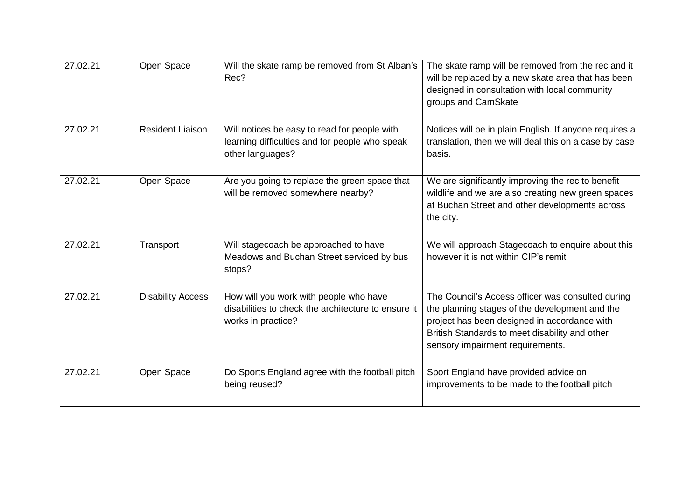| 27.02.21 | Open Space               | Will the skate ramp be removed from St Alban's<br>Rec?                                                              | The skate ramp will be removed from the rec and it<br>will be replaced by a new skate area that has been<br>designed in consultation with local community<br>groups and CamSkate                                                          |
|----------|--------------------------|---------------------------------------------------------------------------------------------------------------------|-------------------------------------------------------------------------------------------------------------------------------------------------------------------------------------------------------------------------------------------|
| 27.02.21 | <b>Resident Liaison</b>  | Will notices be easy to read for people with<br>learning difficulties and for people who speak<br>other languages?  | Notices will be in plain English. If anyone requires a<br>translation, then we will deal this on a case by case<br>basis.                                                                                                                 |
| 27.02.21 | Open Space               | Are you going to replace the green space that<br>will be removed somewhere nearby?                                  | We are significantly improving the rec to benefit<br>wildlife and we are also creating new green spaces<br>at Buchan Street and other developments across<br>the city.                                                                    |
| 27.02.21 | Transport                | Will stagecoach be approached to have<br>Meadows and Buchan Street serviced by bus<br>stops?                        | We will approach Stagecoach to enquire about this<br>however it is not within CIP's remit                                                                                                                                                 |
| 27.02.21 | <b>Disability Access</b> | How will you work with people who have<br>disabilities to check the architecture to ensure it<br>works in practice? | The Council's Access officer was consulted during<br>the planning stages of the development and the<br>project has been designed in accordance with<br>British Standards to meet disability and other<br>sensory impairment requirements. |
| 27.02.21 | Open Space               | Do Sports England agree with the football pitch<br>being reused?                                                    | Sport England have provided advice on<br>improvements to be made to the football pitch                                                                                                                                                    |